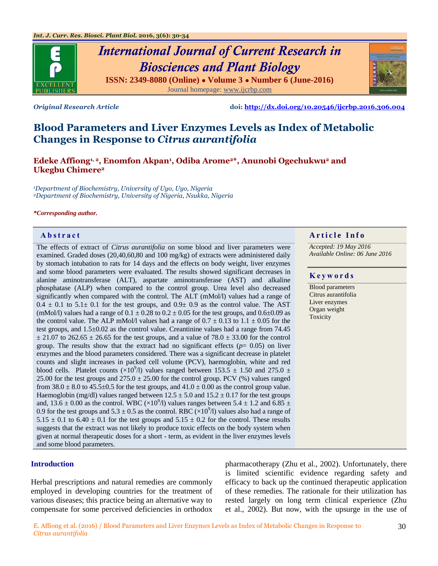

# *International Journal of Current Research in Biosciences and Plant Biology* **ISSN: 2349-8080 (Online) ● Volume 3 ● Number 6 (June-2016)** Journal homepage: [www.ijcrbp.com](http://www.ijcrbp.com/)



*Original Research Article* **doi:<http://dx.doi.org/10.20546/ijcrbp.2016.306.004>**

# **Blood Parameters and Liver Enzymes Levels as Index of Metabolic Changes in Response to** *Citrus aurantifolia*

**Edeke Affiong1, 2, Enomfon Akpan<sup>1</sup> , Odiba Arome2\*, Anunobi Ogechukwu<sup>2</sup> and Ukegbu Chimere<sup>2</sup>**

*<sup>1</sup>Department of Biochemistry, University of Uyo, Uyo, Nigeria <sup>2</sup>Department of Biochemistry, University of Nigeria, Nsukka, Nigeria*

#### *\*Corresponding author.*

The effects of extract of *Citrus aurantifolia* on some blood and liver parameters were examined. Graded doses (20,40,60,80 and 100 mg/kg) of extracts were administered daily by stomach intubation to rats for 14 days and the effects on body weight, liver enzymes and some blood parameters were evaluated. The results showed significant decreases in alanine aminotransferase (ALT), aspartate aminotransferase (AST) and alkaline phosphatase (ALP) when compared to the control group. Urea level also decreased significantly when compared with the control. The ALT (mMol/l) values had a range of  $0.4 \pm 0.1$  to  $5.1 \pm 0.1$  for the test groups, and  $0.9 \pm 0.9$  as the control value. The AST (mMol/l) values had a range of  $0.1 \pm 0.28$  to  $0.2 \pm 0.05$  for the test groups, and  $0.6 \pm 0.09$  as the control value. The ALP mMol/l values had a range of  $0.7 \pm 0.13$  to  $1.1 \pm 0.05$  for the test groups, and 1.5±0.02 as the control value. Creantinine values had a range from 74.45  $\pm$  21.07 to 262.65  $\pm$  26.65 for the test groups, and a value of 78.0  $\pm$  33.00 for the control group. The results show that the extract had no significant effects ( $p= 0.05$ ) on liver enzymes and the blood parameters considered. There was a significant decrease in platelet counts and slight increases in packed cell volume (PCV), haemoglobin, white and red blood cells. Platelet counts  $(\times 10^9/1)$  values ranged between 153.5  $\pm$  1.50 and 275.0  $\pm$ 25.00 for the test groups and  $275.0 \pm 25.00$  for the control group. PCV (%) values ranged from  $38.0 \pm 8.0$  to  $45.5 \pm 0.5$  for the test groups, and  $41.0 \pm 0.00$  as the control group value. Haemoglobin (mg/dl) values ranged between  $12.5 \pm 5.0$  and  $15.2 \pm 0.17$  for the test groups and, 13.6  $\pm$  0.00 as the control. WBC ( $\times$ 10<sup>9</sup>/l) values ranges between 5.4  $\pm$  1.2 and 6.85  $\pm$ 0.9 for the test groups and  $5.3 \pm 0.5$  as the control. RBC ( $\times 10^9$ /l) values also had a range of  $5.15 \pm 0.1$  to  $6.40 \pm 0.1$  for the test groups and  $5.15 \pm 0.2$  for the control. These results suggests that the extract was not likely to produce toxic effects on the body system when given at normal therapeutic doses for a short - term, as evident in the liver enzymes levels and some blood parameters.

#### **Introduction**

Herbal prescriptions and natural remedies are commonly employed in developing countries for the treatment of various diseases; this practice being an alternative way to compensate for some perceived deficiencies in orthodox

pharmacotherapy (Zhu et al., 2002). Unfortunately, there is limited scientific evidence regarding safety and efficacy to back up the continued therapeutic application of these remedies. The rationale for their utilization has rested largely on long term clinical experience (Zhu et al., 2002). But now, with the upsurge in the use of

# **Abstract And a region of the Info**  $\alpha$  **Article Info**

*Accepted: 19 May 2016 Available Online: 06 June 2016*

#### **K e y w o r d s**

Blood parameters Citrus aurantifolia Liver enzymes Organ weight Toxicity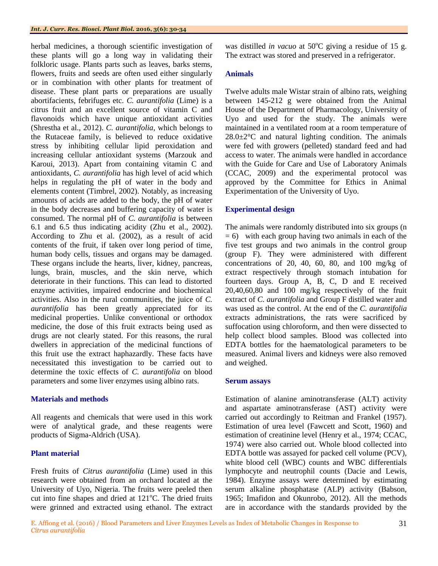herbal medicines, a thorough scientific investigation of these plants will go a long way in validating their folkloric usage. Plants parts such as leaves, barks stems, flowers, fruits and seeds are often used either singularly or in combination with other plants for treatment of disease. These plant parts or preparations are usually abortifacients, febrifuges etc. *C. aurantifolia* (Lime) is a citrus fruit and an excellent source of vitamin C and flavonoids which have unique antioxidant activities (Shrestha et al., 2012). *C. aurantifolia*, which belongs to the Rutaceae family, is believed to reduce oxidative stress by inhibiting cellular lipid peroxidation and increasing cellular antioxidant systems (Marzouk and Karoui, 2013). Apart from containing vitamin C and antioxidants, *C. aurantifolia* has high level of acid which helps in regulating the pH of water in the body and elements content (Timbrel, 2002). Notably, as increasing amounts of acids are added to the body, the pH of water in the body decreases and buffering capacity of water is consumed. The normal pH of *C. aurantifolia* is between 6.1 and 6.5 thus indicating acidity (Zhu et al., 2002). According to Zhu et al. (2002), as a result of acid contents of the fruit, if taken over long period of time, human body cells, tissues and organs may be damaged. These organs include the hearts, liver, kidney, pancreas, lungs, brain, muscles, and the skin nerve, which deteriorate in their functions. This can lead to distorted enzyme activities, impaired endocrine and biochemical activities. Also in the rural communities, the juice of *C. aurantifolia* has been greatly appreciated for its medicinal properties. Unlike conventional or orthodox medicine, the dose of this fruit extracts being used as drugs are not clearly stated. For this reasons, the rural dwellers in appreciation of the medicinal functions of this fruit use the extract haphazardly. These facts have necessitated this investigation to be carried out to determine the toxic effects of *C. aurantifolia* on blood parameters and some liver enzymes using albino rats.

#### **Materials and methods**

All reagents and chemicals that were used in this work were of analytical grade, and these reagents were products of Sigma-Aldrich (USA).

# **Plant material**

Fresh fruits of *Citrus aurantifolia* (Lime) used in this research were obtained from an orchard located at the University of Uyo, Nigeria. The fruits were peeled then cut into fine shapes and dried at  $121^{\circ}$ C. The dried fruits were grinned and extracted using ethanol. The extract was distilled *in vacuo* at 50°C giving a residue of 15 g. The extract was stored and preserved in a refrigerator.

## **Animals**

Twelve adults male Wistar strain of albino rats, weighing between 145-212 g were obtained from the Animal House of the Department of Pharmacology, University of Uyo and used for the study. The animals were maintained in a ventilated room at a room temperature of  $28.0 \pm 2^{\circ}$ C and natural lighting condition. The animals were fed with growers (pelleted) standard feed and had access to water. The animals were handled in accordance with the Guide for Care and Use of Laboratory Animals (CCAC, 2009) and the experimental protocol was approved by the Committee for Ethics in Animal Experimentation of the University of Uyo.

## **Experimental design**

The animals were randomly distributed into six groups (n  $= 6$ ) with each group having two animals in each of the five test groups and two animals in the control group (group F). They were administered with different concentrations of 20, 40, 60, 80, and 100 mg/kg of extract respectively through stomach intubation for fourteen days. Group A, B, C, D and E received 20,40,60,80 and 100 mg/kg respectively of the fruit extract of *C. aurantifolia* and Group F distilled water and was used as the control. At the end of the *C. aurantifolia* extracts administrations, the rats were sacrificed by suffocation using chloroform, and then were dissected to help collect blood samples. Blood was collected into EDTA bottles for the haematological parameters to be measured. Animal livers and kidneys were also removed and weighed.

#### **Serum assays**

Estimation of alanine aminotransferase (ALT) activity and aspartate aminotransferase (AST) activity were carried out accordingly to Reitman and Frankel (1957). Estimation of urea level (Fawcett and Scott, 1960) and estimation of creatinine level (Henry et al., 1974; CCAC, 1974) were also carried out. Whole blood collected into EDTA bottle was assayed for packed cell volume (PCV), white blood cell (WBC) counts and WBC differentials lymphocyte and neutrophil counts (Dacie and Lewis, 1984). Enzyme assays were determined by estimating serum alkaline phosphatase (ALP) activity (Babson, 1965; Imafidon and Okunrobo, 2012). All the methods are in accordance with the standards provided by the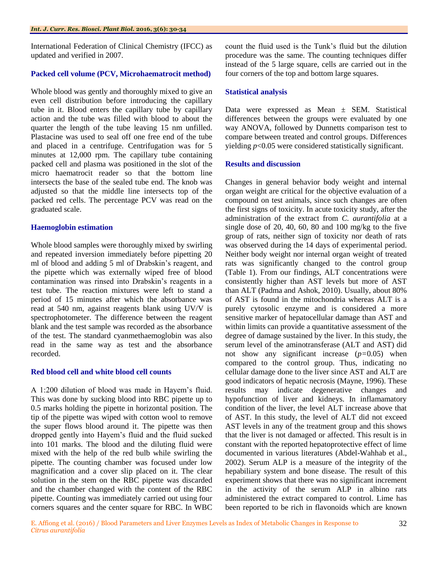International Federation of Clinical Chemistry (IFCC) as updated and verified in 2007.

#### **Packed cell volume (PCV, Microhaematrocit method)**

Whole blood was gently and thoroughly mixed to give an even cell distribution before introducing the capillary tube in it. Blood enters the capillary tube by capillary action and the tube was filled with blood to about the quarter the length of the tube leaving 15 nm unfilled. Plastacine was used to seal off one free end of the tube and placed in a centrifuge. Centrifugation was for 5 minutes at 12,000 rpm. The capillary tube containing packed cell and plasma was positioned in the slot of the micro haematrocit reader so that the bottom line intersects the base of the sealed tube end. The knob was adjusted so that the middle line intersects top of the packed red cells. The percentage PCV was read on the graduated scale.

#### **Haemoglobin estimation**

Whole blood samples were thoroughly mixed by swirling and repeated inversion immediately before pipetting 20 ml of blood and adding 5 ml of Drabskin's reagent, and the pipette which was externally wiped free of blood contamination was rinsed into Drabskin's reagents in a test tube. The reaction mixtures were left to stand a period of 15 minutes after which the absorbance was read at 540 nm, against reagents blank using UV/V is spectrophotometer. The difference between the reagent blank and the test sample was recorded as the absorbance of the test. The standard cyanmethaemoglobin was also read in the same way as test and the absorbance recorded.

#### **Red blood cell and white blood cell counts**

A 1:200 dilution of blood was made in Hayem's fluid. This was done by sucking blood into RBC pipette up to 0.5 marks holding the pipette in horizontal position. The tip of the pipette was wiped with cotton wool to remove the super flows blood around it. The pipette was then dropped gently into Hayem's fluid and the fluid sucked into 101 marks. The blood and the diluting fluid were mixed with the help of the red bulb while swirling the pipette. The counting chamber was focused under low magnification and a cover slip placed on it. The clear solution in the stem on the RBC pipette was discarded and the chamber changed with the content of the RBC pipette. Counting was immediately carried out using four corners squares and the center square for RBC. In WBC

count the fluid used is the Tunk's fluid but the dilution procedure was the same. The counting techniques differ instead of the 5 large square, cells are carried out in the four corners of the top and bottom large squares.

#### **Statistical analysis**

Data were expressed as Mean ± SEM. Statistical differences between the groups were evaluated by one way ANOVA, followed by Dunnetts comparison test to compare between treated and control groups. Differences yielding *p*<0.05 were considered statistically significant.

#### **Results and discussion**

Changes in general behavior body weight and internal organ weight are critical for the objective evaluation of a compound on test animals, since such changes are often the first signs of toxicity. In acute toxicity study, after the administration of the extract from *C. aurantifolia* at a single dose of 20, 40, 60, 80 and 100 mg/kg to the five group of rats, neither sign of toxicity nor death of rats was observed during the 14 days of experimental period. Neither body weight nor internal organ weight of treated rats was significantly changed to the control group (Table 1). From our findings, ALT concentrations were consistently higher than AST levels but more of AST than ALT (Padma and Ashok, 2010). Usually, about 80% of AST is found in the mitochondria whereas ALT is a purely cytosolic enzyme and is considered a more sensitive marker of hepatocellular damage than AST and within limits can provide a quantitative assessment of the degree of damage sustained by the liver. In this study, the serum level of the aminotransferase (ALT and AST) did not show any significant increase (*p=*0.05) when compared to the control group. Thus, indicating no cellular damage done to the liver since AST and ALT are good indicators of hepatic necrosis (Mayne, 1996). These results may indicate degenerative changes and hypofunction of liver and kidneys. In inflamamatory condition of the liver, the level ALT increase above that of AST. In this study, the level of ALT did not exceed AST levels in any of the treatment group and this shows that the liver is not damaged or affected. This result is in constant with the reported hepatoprotective effect of lime documented in various literatures (Abdel-Wahhab et al., 2002). Serum ALP is a measure of the integrity of the hepabiliary system and bone disease. The result of this experiment shows that there was no significant increment in the activity of the serum ALP in albino rats administered the extract compared to control. Lime has been reported to be rich in flavonoids which are known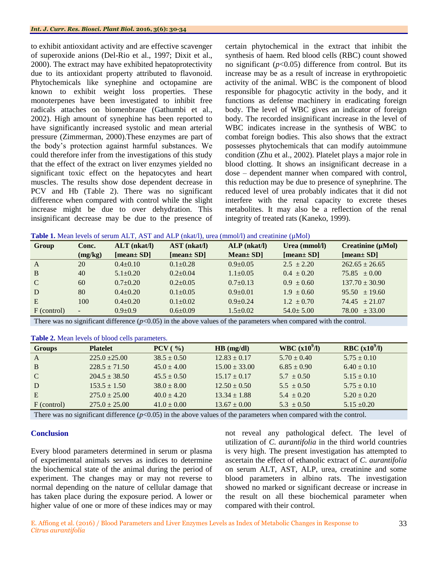to exhibit antioxidant activity and are effective scavenger of superoxide anions (Del-Rio et al., 1997; Dixit et al., 2000). The extract may have exhibited hepatoprotectivity due to its antioxidant property attributed to flavonoid. Phytochemicals like synephine and octopamine are known to exhibit weight loss properties. These monoterpenes have been investigated to inhibit free radicals attaches on biomenbrane (Gathumbi et al., 2002). High amount of synephine has been reported to have significantly increased systolic and mean arterial pressure (Zimmerman, 2000).These enzymes are part of the body's protection against harmful substances. We could therefore infer from the investigations of this study that the effect of the extract on liver enzymes yielded no significant toxic effect on the hepatocytes and heart muscles. The results show dose dependent decrease in PCV and Hb (Table 2). There was no significant difference when compared with control while the slight increase might be due to over dehydration. This insignificant decrease may be due to the presence of certain phytochemical in the extract that inhibit the synthesis of haem. Red blood cells (RBC) count showed no significant  $(p<0.05)$  difference from control. But its increase may be as a result of increase in erythropoietic activity of the animal. WBC is the component of blood responsible for phagocytic activity in the body, and it functions as defense machinery in eradicating foreign body. The level of WBC gives an indicator of foreign body. The recorded insignificant increase in the level of WBC indicates increase in the synthesis of WBC to combat foreign bodies. This also shows that the extract possesses phytochemicals that can modify autoimmune condition (Zhu et al., 2002). Platelet plays a major role in blood clotting. It shows an insignificant decrease in a dose – dependent manner when compared with control, this reduction may be due to presence of synephrine. The reduced level of urea probably indicates that it did not interfere with the renal capacity to excrete theses metabolites. It may also be a reflection of the renal integrity of treated rats (Kaneko, 1999).

| <b>Table 1.</b> Mean levels of serum ALT, AST and ALP (nkat/l), urea (mmol/l) and creatinine ( $\mu$ Mol) |  |  |  |  |
|-----------------------------------------------------------------------------------------------------------|--|--|--|--|
|-----------------------------------------------------------------------------------------------------------|--|--|--|--|

| Group        | Conc.          | $ALT$ ( $nkat/l$ ) | $AST$ ( $nkat/l$ ) | $ALP$ ( $nkat/l$ ) | Urea $(mmol/l)$ | Creatinine $(\mu\text{Mol})$ |
|--------------|----------------|--------------------|--------------------|--------------------|-----------------|------------------------------|
|              | (mg/kg)        | [mean $\pm$ SD]    | [mean $\pm$ SD]    | $Mean \pm SD$      | [mean $\pm$ SD] | [mean $\pm$ SD]              |
| $\mathbf{A}$ | 20             | $0.4+0.10$         | $0.1 \pm 0.28$     | $0.9+0.05$         | $2.5 \pm 2.20$  | $262.65 + 26.65$             |
| B            | 40             | $5.1 \pm 0.20$     | $0.2 + 0.04$       | $1.1 \pm 0.05$     | $0.4 \pm 0.20$  | $75.85 \pm 0.00$             |
| $\mathbf C$  | 60             | $0.7+0.20$         | $0.2 \pm 0.05$     | $0.7+0.13$         | $0.9 \pm 0.60$  | $137.70 \pm 30.90$           |
| D            | 80             | $0.4 + 0.20$       | $0.1 \pm 0.05$     | $0.9 + 0.01$       | $1.9 \pm 0.60$  | $95.50 + 19.60$              |
| E            | 100            | $0.4 + 0.20$       | $0.1 \pm 0.02$     | $0.9+0.24$         | $1.2 \pm 0.70$  | $74.45 + 21.07$              |
| F (control)  | $\overline{a}$ | $0.9 \pm 0.9$      | $0.6 \pm 0.09$     | $1.5 \pm 0.02$     | $54.0 \pm 5.00$ | $78.00 \pm 33.00$            |

There was no significant difference  $(p<0.05)$  in the above values of the parameters when compared with the control.

| <b>Groups</b> | <b>Platelet</b>   | PCV (%)         | HB (mg/dl)        | WBC $(x10^9/1)$ | RBC $(x10^9/l)$ |  |  |
|---------------|-------------------|-----------------|-------------------|-----------------|-----------------|--|--|
| $\mathbf{A}$  | $225.0 + 25.00$   | $38.5 \pm 0.50$ | $12.83 \pm 0.17$  | $5.70 \pm 0.40$ | $5.75 \pm 0.10$ |  |  |
| <sup>B</sup>  | $228.5 \pm 71.50$ | $45.0 \pm 4.00$ | $15.00 \pm 33.00$ | $6.85 \pm 0.90$ | $6.40 \pm 0.10$ |  |  |
| $\mathcal{C}$ | $204.5 \pm 38.50$ | $45.5 \pm 0.50$ | $15.17 \pm 0.17$  | $5.7 \pm 0.50$  | $5.15 \pm 0.10$ |  |  |
| D             | $153.5 \pm 1.50$  | $38.0 \pm 8.00$ | $12.50 \pm 0.50$  | $5.5 \pm 0.50$  | $5.75 \pm 0.10$ |  |  |
| E             | $275.0 \pm 25.00$ | $40.0 \pm 4.20$ | $13.34 \pm 1.88$  | $5.4 \pm 0.20$  | $5.20 \pm 0.20$ |  |  |
| F (control)   | $275.0 \pm 25.00$ | $41.0 \pm 0.00$ | $13.67 \pm 0.00$  | $5.3 \pm 0.50$  | $5.15 \pm 0.20$ |  |  |
| ---           | $\cdots$          | .               | $\sim$ $\sim$     | .               |                 |  |  |

**Table 2.** Mean levels of blood cells parameters.

There was no significant difference  $(p<0.05)$  in the above values of the parameters when compared with the control.

### **Conclusion**

Every blood parameters determined in serum or plasma of experimental animals serves as indices to determine the biochemical state of the animal during the period of experiment. The changes may or may not reverse to normal depending on the nature of cellular damage that has taken place during the exposure period. A lower or higher value of one or more of these indices may or may

not reveal any pathological defect. The level of utilization of *C. aurantifolia* in the third world countries is very high. The present investigation has attempted to ascertain the effect of ethanolic extract of *C. aurantifolia* on serum ALT, AST, ALP, urea, creatinine and some blood parameters in albino rats. The investigation showed no marked or significant decrease or increase in the result on all these biochemical parameter when compared with their control.